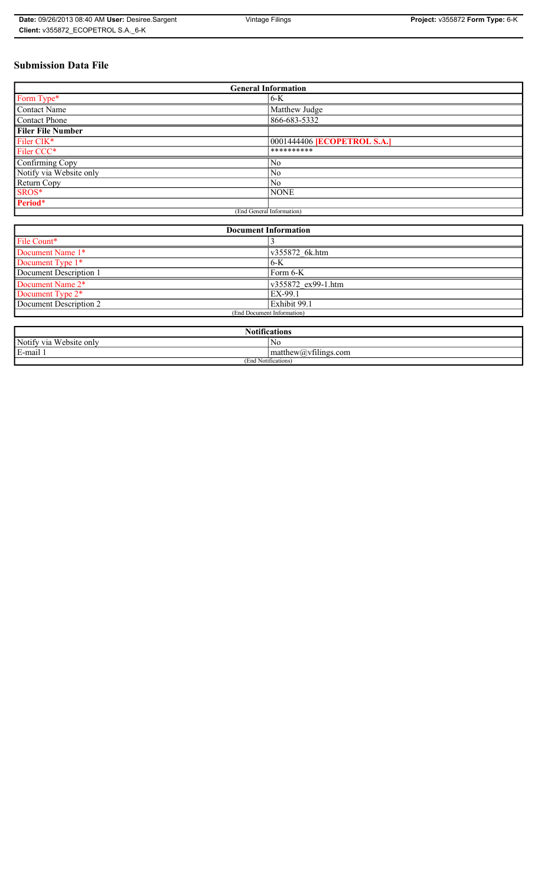# **Submission Data File**

| <b>General Information</b>  |                                    |
|-----------------------------|------------------------------------|
| Form Type*                  | $6-K$                              |
| Contact Name                | Matthew Judge                      |
| Contact Phone               | 866-683-5332                       |
| <b>Filer File Number</b>    |                                    |
| Filer CIK*                  | 0001444406 <b>[ECOPETROL S.A.]</b> |
| Filer CCC*                  | **********                         |
| Confirming Copy             | N <sub>0</sub>                     |
| Notify via Website only     | N <sub>0</sub>                     |
| Return Copy                 | N <sub>o</sub>                     |
| SROS*                       | <b>NONE</b>                        |
| Period*                     |                                    |
| (End General Information)   |                                    |
|                             |                                    |
| <b>Document Information</b> |                                    |
| File Count*                 | 3                                  |
| Document Name 1*            | v355872 6k.htm                     |
| Document Type 1*            | $6-K$                              |
| Document Description 1      | Form 6-K                           |
| Document Name 2*            | v355872 ex99-1.htm                 |
| Document Type 2*            | EX-99.1                            |
| Document Description 2      | Exhibit 99.1                       |
| (End Document Information)  |                                    |

| $. •$ $\sim$<br><b>Notifications</b> |                                                      |
|--------------------------------------|------------------------------------------------------|
| Notify via Website only              | N0                                                   |
| E-mail 1                             | $\sim$ 1.<br>$'$ matthew( <i>a</i> ) $vt$ llings.com |
| (End Notifications)                  |                                                      |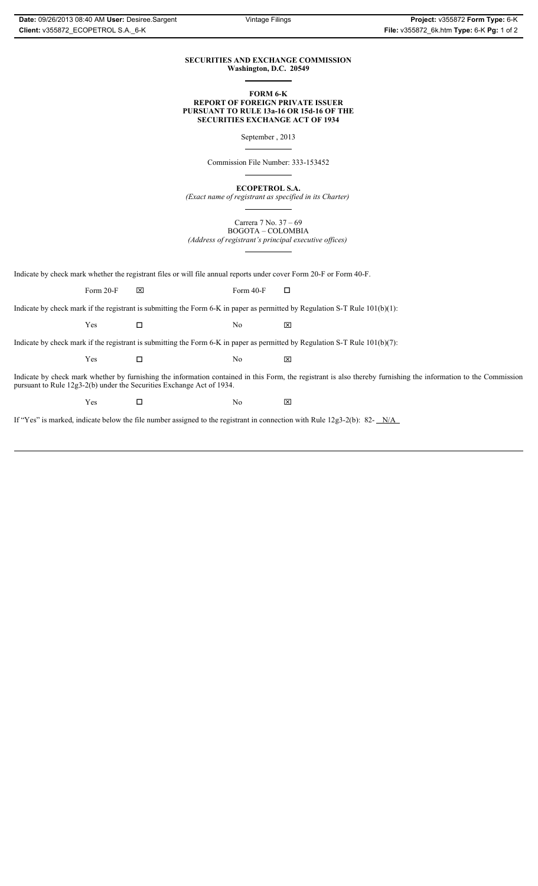### **SECURITIES AND EXCHANGE COMMISSION Washington, D.C. 20549**

**FORM 6-K**

#### **REPORT OF FOREIGN PRIVATE ISSUER PURSUANT TO RULE 13a-16 OR 15d-16 OF THE SECURITIES EXCHANGE ACT OF 1934**

September , 2013

Commission File Number: 333-153452

**ECOPETROL S.A.**

*(Exact name of registrant as specified in its Charter)*

Carrera 7 No. 37 – 69 BOGOTA – COLOMBIA *(Address of registrant's principal executive offices)*

Indicate by check mark whether the registrant files or will file annual reports under cover Form 20-F or Form 40-F.

Form 20-F  $\boxtimes$  Form 40-F  $\Box$ 

Indicate by check mark if the registrant is submitting the Form 6-K in paper as permitted by Regulation S-T Rule 101(b)(1):

 $Yes$   $\Box$  No  $X$ 

Indicate by check mark if the registrant is submitting the Form 6-K in paper as permitted by Regulation S-T Rule 101(b)(7):

 $Yes$   $\Box$  No  $X$ 

Indicate by check mark whether by furnishing the information contained in this Form, the registrant is also thereby furnishing the information to the Commission pursuant to Rule 12g3-2(b) under the Securities Exchange Act of 1934.

 $Yes$   $\Box$  No  $X$ 

If "Yes" is marked, indicate below the file number assigned to the registrant in connection with Rule 12g3-2(b): 82- N/A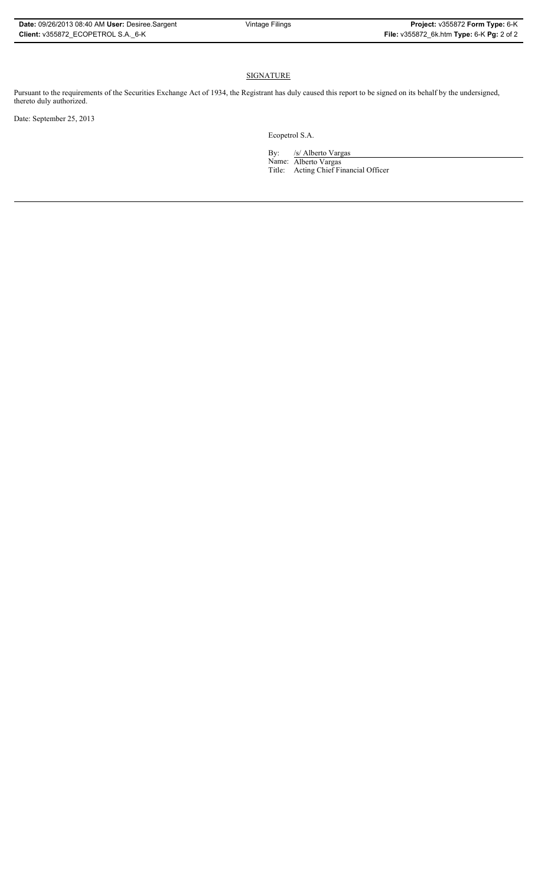### SIGNATURE

Pursuant to the requirements of the Securities Exchange Act of 1934, the Registrant has duly caused this report to be signed on its behalf by the undersigned, thereto duly authorized.

Date: September 25, 2013

Ecopetrol S.A.

By: /s/ Alberto Vargas

Name: Alberto Vargas Title: Acting Chief Financial Officer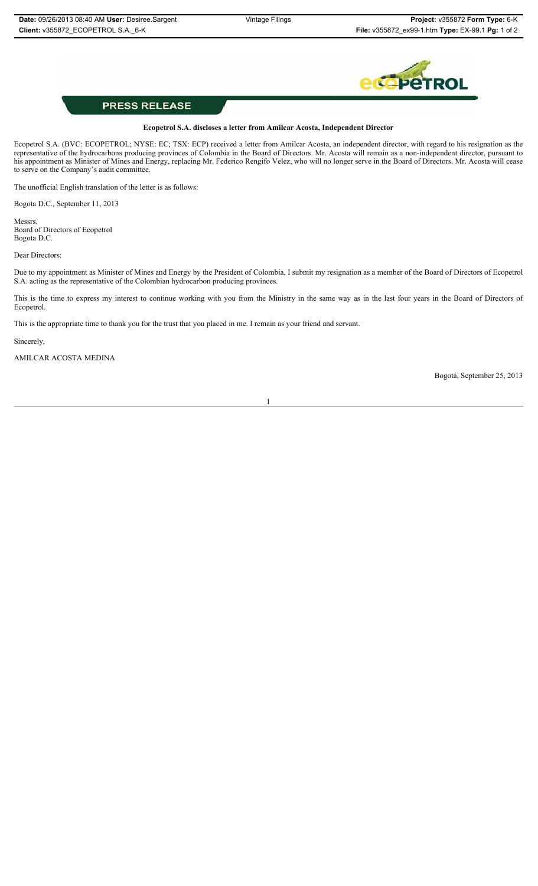

## **PRESS RELEASE**

### **Ecopetrol S.A. discloses a letter from Amilcar Acosta, Independent Director**

Ecopetrol S.A. (BVC: ECOPETROL; NYSE: EC; TSX: ECP) received a letter from Amilcar Acosta, an independent director, with regard to his resignation as the representative of the hydrocarbons producing provinces of Colombia in the Board of Directors. Mr. Acosta will remain as a non-independent director, pursuant to his appointment as Minister of Mines and Energy, replacing Mr. Federico Rengifo Velez, who will no longer serve in the Board of Directors. Mr. Acosta will cease to serve on the Company's audit committee.

The unofficial English translation of the letter is as follows:

Bogota D.C., September 11, 2013

Messrs. Board of Directors of Ecopetrol Bogota D.C.

Dear Directors:

Due to my appointment as Minister of Mines and Energy by the President of Colombia, I submit my resignation as a member of the Board of Directors of Ecopetrol S.A. acting as the representative of the Colombian hydrocarbon producing provinces.

This is the time to express my interest to continue working with you from the Ministry in the same way as in the last four years in the Board of Directors of Ecopetrol.

1

This is the appropriate time to thank you for the trust that you placed in me. I remain as your friend and servant.

Sincerely,

AMILCAR ACOSTA MEDINA

Bogotá, September 25, 2013